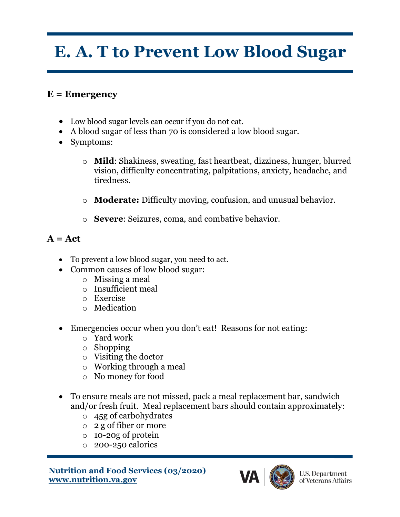## **E. A. T to Prevent Low Blood Sugar**

## **E = Emergency**

- Low blood sugar levels can occur if you do not eat.
- A blood sugar of less than 70 is considered a low blood sugar.
- Symptoms:
	- o **Mild**: Shakiness, sweating, fast heartbeat, dizziness, hunger, blurred vision, difficulty concentrating, palpitations, anxiety, headache, and tiredness.
	- o **Moderate:** Difficulty moving, confusion, and unusual behavior.
	- o **Severe**: Seizures, coma, and combative behavior.

## **A = Act**

- To prevent a low blood sugar, you need to act.
- Common causes of low blood sugar:
	- o Missing a meal
	- o Insufficient meal
	- o Exercise
	- o Medication
- Emergencies occur when you don't eat! Reasons for not eating:
	- o Yard work
	- o Shopping
	- o Visiting the doctor
	- o Working through a meal
	- o No money for food
- To ensure meals are not missed, pack a meal replacement bar, sandwich and/or fresh fruit. Meal replacement bars should contain approximately:
	- o 45g of carbohydrates
	- o 2 g of fiber or more
	- o 10-20g of protein
	- o 200-250 calories

**Nutrition and Food Services (03/2020) www.nutrition.va.gov**



**U.S. Department** of Veterans Affairs